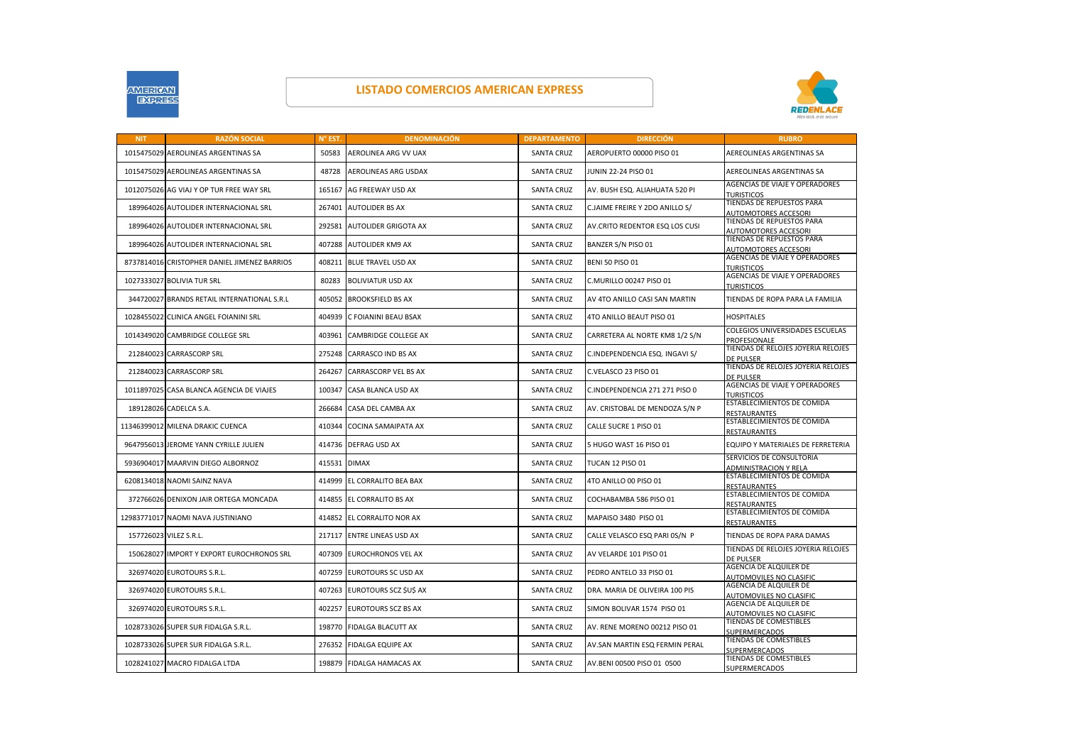

## **LISTADO COMERCIOS AMERICAN EXPRESS**



| <b>NIT</b> | <b>RAZÓN SOCIAL</b>                          | <b>N° EST</b> | <b>DENOMINACIÓN</b>         | <b>DEPARTAMENTO</b> | <b>DIRECCIÓN</b>               | <b>RUBRO</b>                                               |
|------------|----------------------------------------------|---------------|-----------------------------|---------------------|--------------------------------|------------------------------------------------------------|
|            | 1015475029 AEROLINEAS ARGENTINAS SA          | 50583         | AEROLINEA ARG VV UAX        | <b>SANTA CRUZ</b>   | AEROPUERTO 00000 PISO 01       | AEREOLINEAS ARGENTINAS SA                                  |
|            | 1015475029 AEROLINEAS ARGENTINAS SA          | 48728         | AEROLINEAS ARG USDAX        | <b>SANTA CRUZ</b>   | JUNIN 22-24 PISO 01            | AEREOLINEAS ARGENTINAS SA                                  |
|            | 1012075026 AG VIAJ Y OP TUR FREE WAY SRL     | 165167        | AG FREEWAY USD AX           | <b>SANTA CRUZ</b>   | AV. BUSH ESQ. ALIAHUATA 520 PI | <b>AGENCIAS DE VIAJE Y OPERADORES</b><br><b>TURISTICOS</b> |
|            | 189964026 AUTOLIDER INTERNACIONAL SRL        | 267401        | <b>AUTOLIDER BS AX</b>      | <b>SANTA CRUZ</b>   | C.JAIME FREIRE Y 2DO ANILLO S/ | TIENDAS DE REPUESTOS PARA<br><b>AUTOMOTORES ACCESORI</b>   |
|            | 189964026 AUTOLIDER INTERNACIONAL SRL        | 292581        | AUTOLIDER GRIGOTA AX        | <b>SANTA CRUZ</b>   | AV.CRITO REDENTOR ESQ LOS CUSI | TIENDAS DE REPUESTOS PARA<br><b>AUTOMOTORES ACCESORI</b>   |
|            | 189964026 AUTOLIDER INTERNACIONAL SRL        | 407288        | AUTOLIDER KM9 AX            | <b>SANTA CRUZ</b>   | BANZER S/N PISO 01             | TIENDAS DE REPUESTOS PARA<br>AUTOMOTORES ACCESORI          |
|            | 8737814016 CRISTOPHER DANIEL JIMENEZ BARRIOS | 408211        | <b>BLUE TRAVEL USD AX</b>   | <b>SANTA CRUZ</b>   | <b>BENI 50 PISO 01</b>         | AGENCIAS DE VIAJE Y OPERADORES<br><b>TURISTICOS</b>        |
|            | 1027333027 BOLIVIA TUR SRL                   | 80283         | <b>BOLIVIATUR USD AX</b>    | <b>SANTA CRUZ</b>   | C.MURILLO 00247 PISO 01        | AGENCIAS DE VIAJE Y OPERADORES<br><b>TURISTICOS</b>        |
|            | 344720027 BRANDS RETAIL INTERNATIONAL S.R.L  | 405052        | <b>BROOKSFIELD BS AX</b>    | <b>SANTA CRUZ</b>   | AV 4TO ANILLO CASI SAN MARTIN  | TIENDAS DE ROPA PARA LA FAMILIA                            |
|            | 1028455022 CLINICA ANGEL FOIANINI SRL        | 404939        | C FOIANINI BEAU BSAX        | <b>SANTA CRUZ</b>   | 4TO ANILLO BEAUT PISO 01       | <b>HOSPITALES</b>                                          |
|            | 1014349020 CAMBRIDGE COLLEGE SRL             | 403961        | CAMBRIDGE COLLEGE AX        | <b>SANTA CRUZ</b>   | CARRETERA AL NORTE KM8 1/2 S/N | COLEGIOS UNIVERSIDADES ESCUELAS<br>PROFESIONALE            |
|            | 212840023 CARRASCORP SRL                     | 275248        | <b>CARRASCO IND BS AX</b>   | <b>SANTA CRUZ</b>   | C.INDEPENDENCIA ESQ. INGAVI S/ | TIENDAS DE RELOJES JOYERIA RELOJES<br><b>DE PULSER</b>     |
|            | 212840023 CARRASCORP SRL                     | 264267        | <b>CARRASCORP VEL BS AX</b> | <b>SANTA CRUZ</b>   | C.VELASCO 23 PISO 01           | TIENDAS DE RELOJES JOYERIA RELOJES<br><b>DE PULSER</b>     |
|            | 1011897025 CASA BLANCA AGENCIA DE VIAJES     | 100347        | CASA BLANCA USD AX          | <b>SANTA CRUZ</b>   | C.INDEPENDENCIA 271 271 PISO 0 | AGENCIAS DE VIAJE Y OPERADORES<br><b>TURISTICOS</b>        |
|            | 189128026 CADELCA S.A.                       | 266684        | CASA DEL CAMBA AX           | <b>SANTA CRUZ</b>   | AV. CRISTOBAL DE MENDOZA S/N P | ESTABLECIMIENTOS DE COMIDA<br><b>RESTAURANTES</b>          |
|            | 11346399012 MILENA DRAKIC CUENCA             | 410344        | COCINA SAMAIPATA AX         | <b>SANTA CRUZ</b>   | CALLE SUCRE 1 PISO 01          | ESTABLECIMIENTOS DE COMIDA<br><b>RESTAURANTES</b>          |
|            | 9647956013 JEROME YANN CYRILLE JULIEN        | 414736        | <b>DEFRAG USD AX</b>        | <b>SANTA CRUZ</b>   | 5 HUGO WAST 16 PISO 01         | EQUIPO Y MATERIALES DE FERRETERIA                          |
|            | 5936904017 MAARVIN DIEGO ALBORNOZ            | 415531        | <b>DIMAX</b>                | <b>SANTA CRUZ</b>   | <b>TUCAN 12 PISO 01</b>        | SERVICIOS DE CONSULTORIA<br>ADMINISTRACION Y RELA          |
|            | 6208134018 NAOMI SAINZ NAVA                  | 414999        | EL CORRALITO BEA BAX        | <b>SANTA CRUZ</b>   | 4TO ANILLO 00 PISO 01          | ESTABLECIMIENTOS DE COMIDA<br><b>RESTAURANTES</b>          |
|            | 372766026 DENIXON JAIR ORTEGA MONCADA        | 414855        | EL CORRALITO BS AX          | <b>SANTA CRUZ</b>   | COCHABAMBA 586 PISO 01         | ESTABLECIMIENTOS DE COMIDA<br><b>RESTAURANTES</b>          |
|            | 12983771017 NAOMI NAVA JUSTINIANO            | 414852        | EL CORRALITO NOR AX         | <b>SANTA CRUZ</b>   | MAPAISO 3480 PISO 01           | ESTABLECIMIENTOS DE COMIDA<br><b>RESTAURANTES</b>          |
|            | 157726023 VILEZ S.R.L.                       | 217117        | <b>ENTRE LINEAS USD AX</b>  | <b>SANTA CRUZ</b>   | CALLE VELASCO ESQ PARI 0S/N P  | TIENDAS DE ROPA PARA DAMAS                                 |
|            | 150628027 IMPORT Y EXPORT EUROCHRONOS SRL    | 407309        | <b>EUROCHRONOS VEL AX</b>   | <b>SANTA CRUZ</b>   | AV VELARDE 101 PISO 01         | TIENDAS DE RELOJES JOYERIA RELOJES<br><b>DE PULSER</b>     |
|            | 326974020 EUROTOURS S.R.L.                   | 407259        | <b>EUROTOURS SC USD AX</b>  | <b>SANTA CRUZ</b>   | PEDRO ANTELO 33 PISO 01        | AGENCIA DE ALQUILER DE<br>AUTOMOVILES NO CLASIFIC          |
|            | 326974020 EUROTOURS S.R.L.                   | 407263        | EUROTOURS SCZ ŚUŚ AX        | <b>SANTA CRUZ</b>   | DRA. MARIA DE OLIVEIRA 100 PIS | AGENCIA DE ALQUILER DE<br>AUTOMOVILES NO CLASIFIC          |
|            | 326974020 EUROTOURS S.R.L.                   | 402257        | <b>EUROTOURS SCZ BS AX</b>  | <b>SANTA CRUZ</b>   | SIMON BOLIVAR 1574 PISO 01     | AGENCIA DE ALQUILER DE<br>AUTOMOVILES NO CLASIFIC          |
|            | 1028733026 SUPER SUR FIDALGA S.R.L.          | 198770        | <b>FIDALGA BLACUTT AX</b>   | <b>SANTA CRUZ</b>   | AV. RENE MORENO 00212 PISO 01  | TIENDAS DE COMESTIBLES<br><b>SUPERMERCADOS</b>             |
|            | 1028733026 SUPER SUR FIDALGA S.R.L.          | 276352        | <b>FIDALGA EQUIPE AX</b>    | <b>SANTA CRUZ</b>   | AV.SAN MARTIN ESQ FERMIN PERAL | TIENDAS DE COMESTIBLES<br><b>UPERMERCADOS</b>              |
|            | 1028241027 MACRO FIDALGA LTDA                | 198879        | FIDALGA HAMACAS AX          | <b>SANTA CRUZ</b>   | AV.BENI 00500 PISO 01 0500     | TIENDAS DE COMESTIBLES<br><b>SUPERMERCADOS</b>             |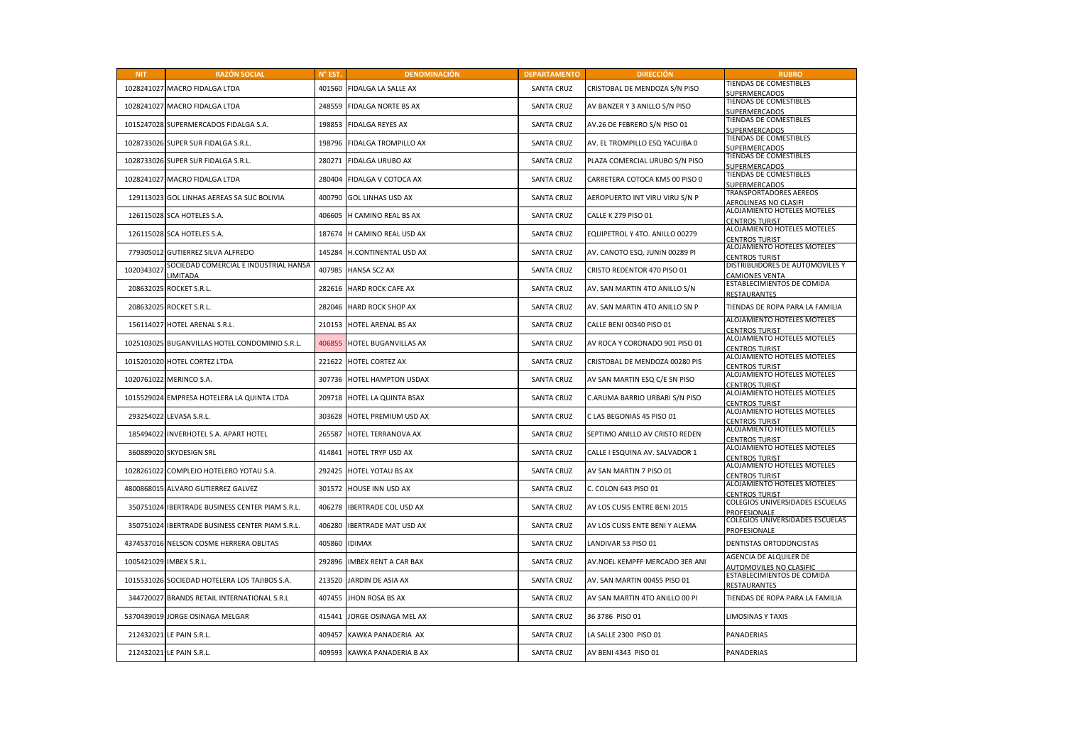| <b>NIT</b> | <b>RAZÓN SOCIAL</b>                                     | N° EST. | <b>DENOMINACIÓN</b>         | <b>DEPARTAMENTO</b> | <b>DIRECCIÓN</b>               | <b>RUBRO</b>                                             |
|------------|---------------------------------------------------------|---------|-----------------------------|---------------------|--------------------------------|----------------------------------------------------------|
| 1028241027 | <b>MACRO FIDALGA LTDA</b>                               | 401560  | FIDALGA LA SALLE AX         | <b>SANTA CRUZ</b>   | CRISTOBAL DE MENDOZA S/N PISO  | TIENDAS DE COMESTIBLES<br><b>SUPERMERCADOS</b>           |
| 1028241027 | MACRO FIDALGA LTDA                                      | 248559  | FIDALGA NORTE BS AX         | <b>SANTA CRUZ</b>   | AV BANZER Y 3 ANILLO S/N PISO  | TIENDAS DE COMESTIBLES<br><b>UPERMERCADOS</b>            |
|            | 1015247028 SUPERMERCADOS FIDALGA S.A.                   | 198853  | <b>FIDALGA REYES AX</b>     | <b>SANTA CRUZ</b>   | AV.26 DE FEBRERO S/N PISO 01   | TIENDAS DE COMESTIBLES<br><b>UPERMERCADOS</b>            |
|            | 1028733026 SUPER SUR FIDALGA S.R.L.                     | 198796  | FIDALGA TROMPILLO AX        | <b>SANTA CRUZ</b>   | AV. EL TROMPILLO ESQ YACUIBA 0 | TIENDAS DE COMESTIBLES<br><b>UPERMERCADOS</b>            |
|            | 1028733026 SUPER SUR FIDALGA S.R.L.                     | 280271  | FIDALGA URUBO AX            | <b>SANTA CRUZ</b>   | PLAZA COMERCIAL URUBO S/N PISO | TIENDAS DE COMESTIBLES<br><b>UPERMERCADOS</b>            |
| 1028241027 | MACRO FIDALGA LTDA                                      | 280404  | FIDALGA V COTOCA AX         | <b>SANTA CRUZ</b>   | CARRETERA COTOCA KM5 00 PISO 0 | TIENDAS DE COMESTIBLES<br>SUPERMERCADOS                  |
| 129113023  | <b>GOL LINHAS AEREAS SA SUC BOLIVIA</b>                 | 400790  | <b>GOL LINHAS USD AX</b>    | <b>SANTA CRUZ</b>   | AEROPUERTO INT VIRU VIRU S/N P | TRANSPORTADORES AEREOS<br><b>AEROLINEAS NO CLASIFI</b>   |
|            | 126115028 SCA HOTELES S.A.                              | 406605  | H CAMINO REAL BS AX         | <b>SANTA CRUZ</b>   | <b>CALLE K 279 PISO 01</b>     | ALOJAMIENTO HOTELES MOTELES<br><b>CENTROS TURIST</b>     |
|            | 126115028 SCA HOTELES S.A.                              | 187674  | H CAMINO REAL USD AX        | <b>SANTA CRUZ</b>   | EQUIPETROL Y 4TO. ANILLO 00279 | ALOJAMIENTO HOTELES MOTELES<br><b>CENTROS TURIST</b>     |
| 779305012  | <b>GUTIERREZ SILVA ALFREDO</b>                          | 145284  | H.CONTINENTAL USD AX        | <b>SANTA CRUZ</b>   | AV. CANOTO ESQ. JUNIN 00289 PI | ALOJAMIENTO HOTELES MOTELES<br><b>ENTROS TURIST</b>      |
| 1020343027 | SOCIEDAD COMERCIAL E INDUSTRIAL HANSA<br><b>IMITADA</b> | 407985  | <b>HANSA SCZ AX</b>         | <b>SANTA CRUZ</b>   | CRISTO REDENTOR 470 PISO 01    | DISTRIBUIDORES DE AUTOMOVILES Y<br><b>CAMIONES VENTA</b> |
| 208632025  | ROCKET S.R.L.                                           | 282616  | <b>HARD ROCK CAFE AX</b>    | <b>SANTA CRUZ</b>   | AV. SAN MARTIN 4TO ANILLO S/N  | ESTABLECIMIENTOS DE COMIDA<br>RESTAURANTES               |
| 208632025  | ROCKET S.R.L.                                           | 282046  | <b>HARD ROCK SHOP AX</b>    | <b>SANTA CRUZ</b>   | AV. SAN MARTIN 4TO ANILLO SN P | TIENDAS DE ROPA PARA LA FAMILIA                          |
| 156114027  | HOTEL ARENAL S.R.L.                                     | 210153  | HOTEL ARENAL BS AX          | <b>SANTA CRUZ</b>   | CALLE BENI 00340 PISO 01       | ALOJAMIENTO HOTELES MOTELES<br><b>CENTROS TURIST</b>     |
|            | 1025103025 BUGANVILLAS HOTEL CONDOMINIO S.R.L.          | 406855  | HOTEL BUGANVILLAS AX        | <b>SANTA CRUZ</b>   | AV ROCA Y CORONADO 901 PISO 01 | ALOJAMIENTO HOTELES MOTELES<br><b>CENTROS TURIST</b>     |
|            | 1015201020 HOTEL CORTEZ LTDA                            | 221622  | <b>HOTEL CORTEZ AX</b>      | <b>SANTA CRUZ</b>   | CRISTOBAL DE MENDOZA 00280 PIS | ALOJAMIENTO HOTELES MOTELES<br><b>CENTROS TURIST</b>     |
| 1020761022 | MERINCO S.A.                                            | 307736  | HOTEL HAMPTON USDAX         | <b>SANTA CRUZ</b>   | AV SAN MARTIN ESQ C/E SN PISO  | ALOJAMIENTO HOTELES MOTELES<br><b>CENTROS TURIST</b>     |
|            | 1015529024 EMPRESA HOTELERA LA QUINTA LTDA              | 209718  | HOTEL LA QUINTA BSAX        | <b>SANTA CRUZ</b>   | C.ARUMA BARRIO URBARI S/N PISO | ALOJAMIENTO HOTELES MOTELES<br><b>CENTROS TURIST</b>     |
| 293254022  | LEVASA S.R.L.                                           | 303628  | HOTEL PREMIUM USD AX        | <b>SANTA CRUZ</b>   | C LAS BEGONIAS 45 PISO 01      | ALOJAMIENTO HOTELES MOTELES<br><b>CENTROS TURIST</b>     |
| 185494022  | <b>INVERHOTEL S.A. APART HOTEL</b>                      | 265587  | HOTEL TERRANOVA AX          | <b>SANTA CRUZ</b>   | SEPTIMO ANILLO AV CRISTO REDEN | ALOJAMIENTO HOTELES MOTELES<br><b>ENTROS TURIST</b>      |
|            | 360889020 SKYDESIGN SRL                                 | 414841  | HOTEL TRYP USD AX           | <b>SANTA CRUZ</b>   | CALLE I ESQUINA AV. SALVADOR 1 | <b>ALOJAMIENTO HOTELES MOTELES</b><br>CENTROS TURIST     |
| 1028261022 | COMPLEJO HOTELERO YOTAU S.A.                            | 292425  | <b>HOTEL YOTAU BS AX</b>    | <b>SANTA CRUZ</b>   | AV SAN MARTIN 7 PISO 01        | ALOJAMIENTO HOTELES MOTELES<br><b>CENTROS TURIST</b>     |
| 4800868015 | ALVARO GUTIERREZ GALVEZ                                 | 301572  | HOUSE INN USD AX            | <b>SANTA CRUZ</b>   | C. COLON 643 PISO 01           | ALOJAMIENTO HOTELES MOTELES<br><b>CENTROS TURIST</b>     |
| 350751024  | <b>IBERTRADE BUSINESS CENTER PIAM S.R.L.</b>            | 406278  | <b>IBERTRADE COL USD AX</b> | <b>SANTA CRUZ</b>   | AV LOS CUSIS ENTRE BENI 2015   | COLEGIOS UNIVERSIDADES ESCUELAS<br>PROFESIONALE          |
| 350751024  | IBERTRADE BUSINESS CENTER PIAM S.R.L.                   | 406280  | <b>IBERTRADE MAT USD AX</b> | <b>SANTA CRUZ</b>   | AV LOS CUSIS ENTE BENI Y ALEMA | COLEGIOS UNIVERSIDADES ESCUELAS<br>PROFESIONALE          |
| 4374537016 | NELSON COSME HERRERA OBLITAS                            | 405860  | <b>IDIMAX</b>               | <b>SANTA CRUZ</b>   | LANDIVAR 53 PISO 01            | DENTISTAS ORTODONCISTAS                                  |
| 1005421029 | IMBEX S.R.L.                                            | 292896  | <b>IMBEX RENT A CAR BAX</b> | <b>SANTA CRUZ</b>   | AV.NOEL KEMPFF MERCADO 3ER ANI | AGENCIA DE ALQUILER DE<br><b>AUTOMOVILES NO CLASIFIC</b> |
| 1015531026 | SOCIEDAD HOTELERA LOS TAJIBOS S.A.                      | 213520  | JARDIN DE ASIA AX           | <b>SANTA CRUZ</b>   | AV. SAN MARTIN 00455 PISO 01   | ESTABLECIMIENTOS DE COMIDA<br><b>RESTAURANTES</b>        |
|            | 344720027 BRANDS RETAIL INTERNATIONAL S.R.L             | 407455  | JHON ROSA BS AX             | <b>SANTA CRUZ</b>   | AV SAN MARTIN 4TO ANILLO 00 PI | TIENDAS DE ROPA PARA LA FAMILIA                          |
| 5370439019 | JORGE OSINAGA MELGAR                                    | 415441  | JORGE OSINAGA MEL AX        | <b>SANTA CRUZ</b>   | 36 3786 PISO 01                | <b>LIMOSINAS Y TAXIS</b>                                 |
| 212432021  | LE PAIN S.R.L.                                          | 409457  | KAWKA PANADERIA AX          | <b>SANTA CRUZ</b>   | LA SALLE 2300 PISO 01          | <b>PANADERIAS</b>                                        |
|            | 212432021 LE PAIN S.R.L.                                | 409593  | KAWKA PANADERIA B AX        | <b>SANTA CRUZ</b>   | AV BENI 4343 PISO 01           | PANADERIAS                                               |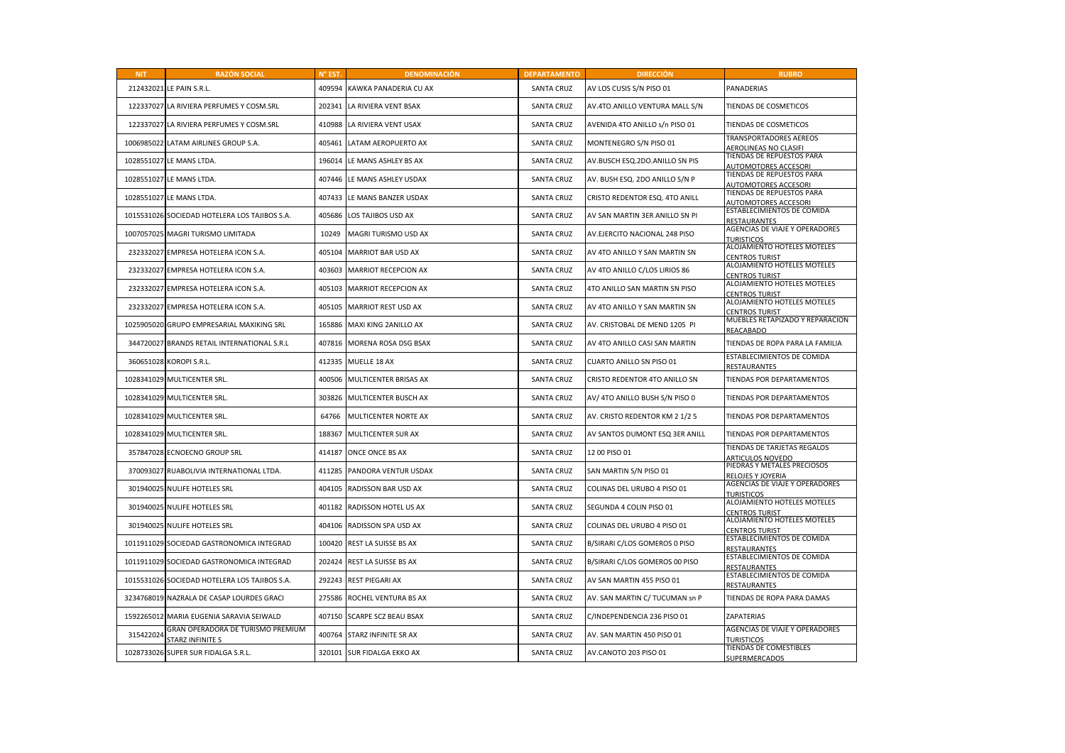| <b>NIT</b> | <b>RAZÓN SOCIAL</b>                                          | N° EST. | <b>DENOMINACIÓN</b>         | <b>DEPARTAMENTO</b> | <b>DIRECCIÓN</b>               | <b>RUBRO</b>                                                  |
|------------|--------------------------------------------------------------|---------|-----------------------------|---------------------|--------------------------------|---------------------------------------------------------------|
|            | 212432021 LE PAIN S.R.L.                                     | 409594  | KAWKA PANADERIA CU AX       | <b>SANTA CRUZ</b>   | AV LOS CUSIS S/N PISO 01       | PANADERIAS                                                    |
|            | 122337027 LA RIVIERA PERFUMES Y COSM.SRL                     | 202341  | LA RIVIERA VENT BSAX        | <b>SANTA CRUZ</b>   | AV.4TO.ANILLO VENTURA MALL S/N | TIENDAS DE COSMETICOS                                         |
|            | 122337027 LA RIVIERA PERFUMES Y COSM.SRL                     | 410988  | LA RIVIERA VENT USAX        | SANTA CRUZ          | AVENIDA 4TO ANILLO s/n PISO 01 | TIENDAS DE COSMETICOS                                         |
|            | 1006985022 LATAM AIRLINES GROUP S.A.                         | 405461  | LATAM AEROPUERTO AX         | <b>SANTA CRUZ</b>   | MONTENEGRO S/N PISO 01         | <b>TRANSPORTADORES AEREOS</b><br><b>AEROLINEAS NO CLASIFI</b> |
|            | 1028551027 LE MANS LTDA.                                     | 196014  | LE MANS ASHLEY BS AX        | <b>SANTA CRUZ</b>   | AV.BUSCH ESQ.2DO.ANILLO SN PIS | TIENDAS DE REPUESTOS PARA<br><b>AUTOMOTORES ACCESORI</b>      |
|            | 1028551027 LE MANS LTDA.                                     | 407446  | LE MANS ASHLEY USDAX        | <b>SANTA CRUZ</b>   | AV. BUSH ESQ. 2DO ANILLO S/N P | TIENDAS DE REPUESTOS PARA<br>AUTOMOTORES ACCESORI             |
|            | 1028551027 LE MANS LTDA.                                     | 407433  | LE MANS BANZER USDAX        | <b>SANTA CRUZ</b>   | CRISTO REDENTOR ESQ. 4TO ANILL | TIENDAS DE REPUESTOS PARA<br><b>AUTOMOTORES ACCESORI</b>      |
|            | 1015531026 SOCIEDAD HOTELERA LOS TAJIBOS S.A.                | 405686  | LOS TAJIBOS USD AX          | <b>SANTA CRUZ</b>   | AV SAN MARTIN 3ER ANILLO SN PI | ESTABLECIMIENTOS DE COMIDA<br>RESTAURANTES                    |
|            | 1007057025 MAGRI TURISMO LIMITADA                            | 10249   | MAGRI TURISMO USD AX        | <b>SANTA CRUZ</b>   | AV.EJERCITO NACIONAL 248 PISO  | AGENCIAS DE VIAJE Y OPERADORES<br><b>TURISTICOS</b>           |
|            | 232332027 EMPRESA HOTELERA ICON S.A.                         | 405104  | MARRIOT BAR USD AX          | <b>SANTA CRUZ</b>   | AV 4TO ANILLO Y SAN MARTIN SN  | ALOJAMIENTO HOTELES MOTELES<br><b>CENTROS TURIST</b>          |
|            | 232332027 EMPRESA HOTELERA ICON S.A.                         | 403603  | MARRIOT RECEPCION AX        | <b>SANTA CRUZ</b>   | AV 4TO ANILLO C/LOS LIRIOS 86  | ALOJAMIENTO HOTELES MOTELES<br><b>CENTROS TURIST</b>          |
|            | 232332027 EMPRESA HOTELERA ICON S.A.                         | 405103  | MARRIOT RECEPCION AX        | <b>SANTA CRUZ</b>   | 4TO ANILLO SAN MARTIN SN PISO  | ALOJAMIENTO HOTELES MOTELES<br><b>CENTROS TURIST</b>          |
|            | 232332027 EMPRESA HOTELERA ICON S.A.                         | 405105  | MARRIOT REST USD AX         | <b>SANTA CRUZ</b>   | AV 4TO ANILLO Y SAN MARTIN SN  | ALOJAMIENTO HOTELES MOTELES<br>CENTROS TURIST                 |
|            | 1025905020 GRUPO EMPRESARIAL MAXIKING SRL                    | 165886  | MAXI KING 2ANILLO AX        | <b>SANTA CRUZ</b>   | AV. CRISTOBAL DE MEND 1205 PI  | MUEBLES RETAPIZADO Y REPARACION<br>REACABADO                  |
|            | 344720027 BRANDS RETAIL INTERNATIONAL S.R.L                  | 407816  | MORENA ROSA DSG BSAX        | <b>SANTA CRUZ</b>   | AV 4TO ANILLO CASI SAN MARTIN  | TIENDAS DE ROPA PARA LA FAMILIA                               |
|            | 360651028 KOROPI S.R.L.                                      | 412335  | MUELLE 18 AX                | <b>SANTA CRUZ</b>   | CUARTO ANILLO SN PISO 01       | ESTABLECIMIENTOS DE COMIDA<br>RESTAURANTES                    |
|            | 1028341029 MULTICENTER SRL.                                  | 400506  | MULTICENTER BRISAS AX       | <b>SANTA CRUZ</b>   | CRISTO REDENTOR 4TO ANILLO SN  | TIENDAS POR DEPARTAMENTOS                                     |
|            | 1028341029 MULTICENTER SRL.                                  | 303826  | MULTICENTER BUSCH AX        | <b>SANTA CRUZ</b>   | AV/ 4TO ANILLO BUSH S/N PISO 0 | TIENDAS POR DEPARTAMENTOS                                     |
|            | 1028341029 MULTICENTER SRL.                                  | 64766   | MULTICENTER NORTE AX        | <b>SANTA CRUZ</b>   | AV. CRISTO REDENTOR KM 2 1/2 5 | TIENDAS POR DEPARTAMENTOS                                     |
|            | 1028341029 MULTICENTER SRL.                                  | 188367  | MULTICENTER SUR AX          | <b>SANTA CRUZ</b>   | AV SANTOS DUMONT ESQ 3ER ANILL | TIENDAS POR DEPARTAMENTOS                                     |
|            | 357847028 ECNOECNO GROUP SRL                                 | 414187  | ONCE ONCE BS AX             | <b>SANTA CRUZ</b>   | 12 00 PISO 01                  | TIENDAS DE TARJETAS REGALOS<br><b>ARTICULOS NOVEDO</b>        |
|            | 370093027 RUABOLIVIA INTERNATIONAL LTDA.                     | 411285  | PANDORA VENTUR USDAX        | <b>SANTA CRUZ</b>   | SAN MARTIN S/N PISO 01         | PIEDRAS Y METALES PRECIOSOS<br>RELOJES Y JOYERIA              |
|            | 301940025 NULIFE HOTELES SRL                                 | 404105  | RADISSON BAR USD AX         | <b>SANTA CRUZ</b>   | COLINAS DEL URUBO 4 PISO 01    | AGENCIAS DE VIAJE Y OPERADORES<br><b>TURISTICOS</b>           |
|            | 301940025 NULIFE HOTELES SRL                                 | 401182  | RADISSON HOTEL US AX        | <b>SANTA CRUZ</b>   | SEGUNDA 4 COLIN PISO 01        | ALOJAMIENTO HOTELES MOTELES<br><b>CENTROS TURIST</b>          |
|            | 301940025 NULIFE HOTELES SRL                                 | 404106  | RADISSON SPA USD AX         | <b>SANTA CRUZ</b>   | COLINAS DEL URUBO 4 PISO 01    | ALOJAMIENTO HOTELES MOTELES<br><b>CENTROS TURIST</b>          |
|            | 1011911029 SOCIEDAD GASTRONOMICA INTEGRAD                    | 100420  | REST LA SUISSE BS AX        | <b>SANTA CRUZ</b>   | B/SIRARI C/LOS GOMEROS 0 PISO  | ESTABLECIMIENTOS DE COMIDA<br>RESTAURANTES                    |
|            | 1011911029 SOCIEDAD GASTRONOMICA INTEGRAD                    | 202424  | <b>REST LA SUISSE BS AX</b> | <b>SANTA CRUZ</b>   | B/SIRARI C/LOS GOMEROS 00 PISO | ESTABLECIMIENTOS DE COMIDA<br>RESTAURANTES                    |
|            | 1015531026 SOCIEDAD HOTELERA LOS TAJIBOS S.A.                | 292243  | <b>REST PIEGARI AX</b>      | <b>SANTA CRUZ</b>   | AV SAN MARTIN 455 PISO 01      | ESTABLECIMIENTOS DE COMIDA<br>RESTAURANTES                    |
|            | 3234768019 NAZRALA DE CASAP LOURDES GRACI                    | 275586  | ROCHEL VENTURA BS AX        | <b>SANTA CRUZ</b>   | AV. SAN MARTIN C/ TUCUMAN Sn P | TIENDAS DE ROPA PARA DAMAS                                    |
|            | 1592265012 MARIA EUGENIA SARAVIA SEIWALD                     | 407150  | <b>SCARPE SCZ BEAU BSAX</b> | <b>SANTA CRUZ</b>   | C/INDEPENDENCIA 236 PISO 01    | ZAPATERIAS                                                    |
| 315422024  | GRAN OPERADORA DE TURISMO PREMIUM<br><b>STARZ INFINITE S</b> | 400764  | STARZ INFINITE SR AX        | <b>SANTA CRUZ</b>   | AV. SAN MARTIN 450 PISO 01     | AGENCIAS DE VIAJE Y OPERADORES<br>URISTICOS                   |
|            | 1028733026 SUPER SUR FIDALGA S.R.L.                          | 320101  | SUR FIDALGA EKKO AX         | <b>SANTA CRUZ</b>   | AV.CANOTO 203 PISO 01          | TIENDAS DE COMESTIBLES<br>SUPERMERCADOS                       |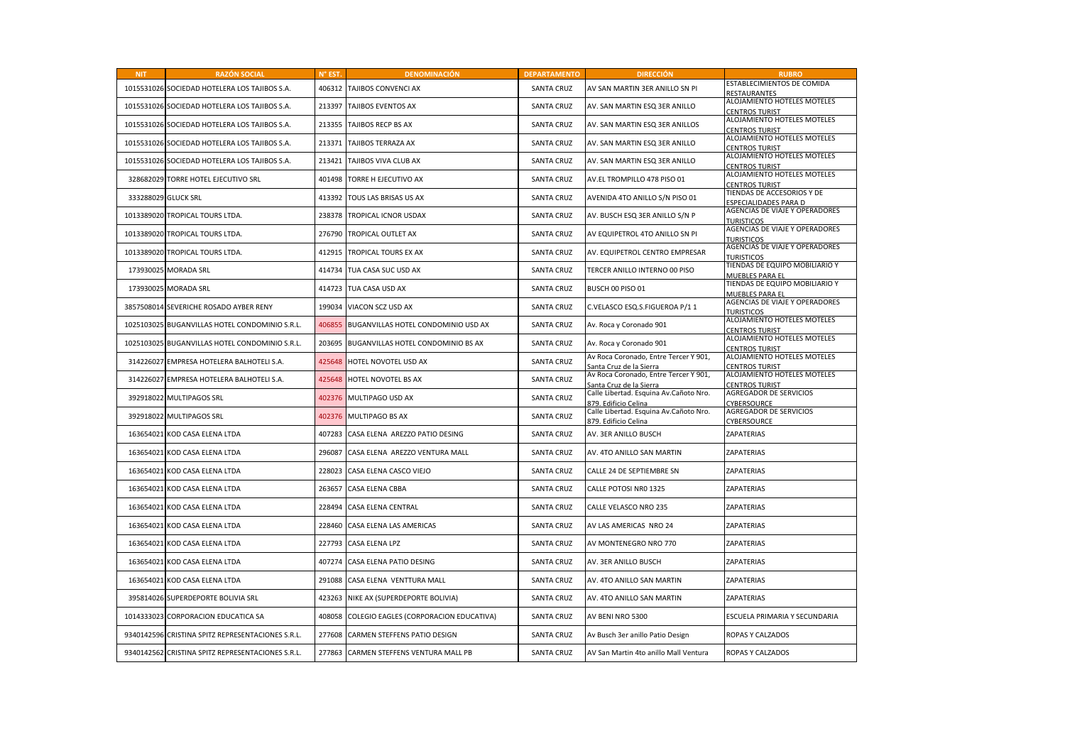| <b>NIT</b> | <b>RAZÓN SOCIAL</b>                               | N° EST. | <b>DENOMINACIÓN</b>                    | <b>DEPARTAMENTO</b> | <b>DIRECCIÓN</b>                                                 | <b>RUBRO</b>                                             |
|------------|---------------------------------------------------|---------|----------------------------------------|---------------------|------------------------------------------------------------------|----------------------------------------------------------|
|            | 1015531026 SOCIEDAD HOTELERA LOS TAJIBOS S.A.     | 406312  | TAJIBOS CONVENCI AX                    | <b>SANTA CRUZ</b>   | AV SAN MARTIN 3ER ANILLO SN PI                                   | ESTABLECIMIENTOS DE COMIDA<br><b>RESTAURANTES</b>        |
|            | 1015531026 SOCIEDAD HOTELERA LOS TAJIBOS S.A.     | 213397  | TAJIBOS EVENTOS AX                     | <b>SANTA CRUZ</b>   | AV. SAN MARTIN ESQ 3ER ANILLO                                    | ALOJAMIENTO HOTELES MOTELES<br><b>CENTROS TURIST</b>     |
|            | 1015531026 SOCIEDAD HOTELERA LOS TAJIBOS S.A.     | 213355  | TAJIBOS RECP BS AX                     | <b>SANTA CRUZ</b>   | AV. SAN MARTIN ESQ 3ER ANILLOS                                   | ALOJAMIENTO HOTELES MOTELES<br><b>CENTROS TURIST</b>     |
|            | 1015531026 SOCIEDAD HOTELERA LOS TAJIBOS S.A.     | 213371  | TAJIBOS TERRAZA AX                     | <b>SANTA CRUZ</b>   | AV. SAN MARTIN ESQ 3ER ANILLO                                    | ALOJAMIENTO HOTELES MOTELES<br><b>CENTROS TURIST</b>     |
|            | 1015531026 SOCIEDAD HOTELERA LOS TAJIBOS S.A.     | 213421  | TAJIBOS VIVA CLUB AX                   | <b>SANTA CRUZ</b>   | AV. SAN MARTIN ESQ 3ER ANILLO                                    | ALOJAMIENTO HOTELES MOTELES<br><b>CENTROS TURIST</b>     |
|            | 328682029 TORRE HOTEL EJECUTIVO SRL               | 401498  | TORRE H EJECUTIVO AX                   | <b>SANTA CRUZ</b>   | AV.EL TROMPILLO 478 PISO 01                                      | ALOJAMIENTO HOTELES MOTELES<br><b>CENTROS TURIST</b>     |
|            | 333288029 GLUCK SRL                               | 413392  | TOUS LAS BRISAS US AX                  | <b>SANTA CRUZ</b>   | AVENIDA 4TO ANILLO S/N PISO 01                                   | TIENDAS DE ACCESORIOS Y DE<br>SPECIALIDADES PARA D       |
|            | 1013389020 TROPICAL TOURS LTDA.                   | 238378  | TROPICAL ICNOR USDAX                   | <b>SANTA CRUZ</b>   | AV. BUSCH ESQ 3ER ANILLO S/N P                                   | AGENCIAS DE VIAJE Y OPERADORES<br><b>TURISTICOS</b>      |
| 1013389020 | TROPICAL TOURS LTDA.                              | 276790  | TROPICAL OUTLET AX                     | <b>SANTA CRUZ</b>   | AV EQUIPETROL 4TO ANILLO SN PI                                   | AGENCIAS DE VIAJE Y OPERADORES<br><b>TURISTICOS</b>      |
|            | 1013389020 TROPICAL TOURS LTDA.                   | 412915  | <b>TROPICAL TOURS EX AX</b>            | <b>SANTA CRUZ</b>   | AV. EQUIPETROL CENTRO EMPRESAR                                   | AGENCIAS DE VIAJE Y OPERADORES<br><b>URISTICOS</b>       |
|            | 173930025 MORADA SRL                              | 414734  | TUA CASA SUC USD AX                    | <b>SANTA CRUZ</b>   | TERCER ANILLO INTERNO 00 PISO                                    | TIENDAS DE EQUIPO MOBILIARIO Y<br>MUEBLES PARA EL        |
|            | 173930025 MORADA SRL                              | 414723  | TUA CASA USD AX                        | <b>SANTA CRUZ</b>   | BUSCH 00 PISO 01                                                 | TIENDAS DE EQUIPO MOBILIARIO Y<br><b>MUEBLES PARA EL</b> |
|            | 3857508014 SEVERICHE ROSADO AYBER RENY            | 199034  | VIACON SCZ USD AX                      | <b>SANTA CRUZ</b>   | C.VELASCO ESQ.S.FIGUEROA P/11                                    | AGENCIAS DE VIAJE Y OPERADORES<br><b>TURISTICOS</b>      |
| 1025103025 | <b>BUGANVILLAS HOTEL CONDOMINIO S.R.L.</b>        | 406855  | BUGANVILLAS HOTEL CONDOMINIO USD AX    | <b>SANTA CRUZ</b>   | Av. Roca y Coronado 901                                          | ALOJAMIENTO HOTELES MOTELES<br><b>CENTROS TURIST</b>     |
|            | 1025103025 BUGANVILLAS HOTEL CONDOMINIO S.R.L.    | 203695  | BUGANVILLAS HOTEL CONDOMINIO BS AX     | <b>SANTA CRUZ</b>   | Av. Roca y Coronado 901                                          | ALOJAMIENTO HOTELES MOTELES<br><b>CENTROS TURIST</b>     |
|            | 314226027 EMPRESA HOTELERA BALHOTELI S.A.         | 425648  | HOTEL NOVOTEL USD AX                   | <b>SANTA CRUZ</b>   | Av Roca Coronado, Entre Tercer Y 901,<br>Santa Cruz de la Sierra | ALOJAMIENTO HOTELES MOTELES<br><b>CENTROS TURIST</b>     |
|            | 314226027 EMPRESA HOTELERA BALHOTELI S.A.         | 425648  | HOTEL NOVOTEL BS AX                    | <b>SANTA CRUZ</b>   | Av Roca Coronado, Entre Tercer Y 901,<br>Santa Cruz de la Sierra | ALOJAMIENTO HOTELES MOTELES<br>CENTROS TURIST            |
|            | 392918022 MULTIPAGOS SRL                          | 402376  | MULTIPAGO USD AX                       | <b>SANTA CRUZ</b>   | Calle Libertad. Esquina Av.Cañoto Nro.<br>879. Edificio Celina   | <b>AGREGADOR DE SERVICIOS</b><br><b>CYBERSOURCE</b>      |
|            | 392918022 MULTIPAGOS SRL                          | 402376  | MULTIPAGO BS AX                        | <b>SANTA CRUZ</b>   | Calle Libertad. Esquina Av.Cañoto Nro.<br>879. Edificio Celina   | <b>AGREGADOR DE SERVICIOS</b><br>CYBERSOURCE             |
|            | 163654021 KOD CASA ELENA LTDA                     | 407283  | CASA ELENA AREZZO PATIO DESING         | <b>SANTA CRUZ</b>   | AV. 3ER ANILLO BUSCH                                             | <b>ZAPATERIAS</b>                                        |
|            | 163654021 KOD CASA ELENA LTDA                     | 296087  | CASA ELENA AREZZO VENTURA MALL         | <b>SANTA CRUZ</b>   | AV. 4TO ANILLO SAN MARTIN                                        | ZAPATERIAS                                               |
|            | 163654021 KOD CASA ELENA LTDA                     | 228023  | CASA ELENA CASCO VIEJO                 | <b>SANTA CRUZ</b>   | CALLE 24 DE SEPTIEMBRE SN                                        | ZAPATERIAS                                               |
|            | 163654021 KOD CASA ELENA LTDA                     | 263657  | CASA ELENA CBBA                        | SANTA CRUZ          | CALLE POTOSI NR0 1325                                            | ZAPATERIAS                                               |
|            | 163654021 KOD CASA ELENA LTDA                     | 228494  | CASA ELENA CENTRAL                     | <b>SANTA CRUZ</b>   | CALLE VELASCO NRO 235                                            | ZAPATERIAS                                               |
|            | 163654021 KOD CASA ELENA LTDA                     | 228460  | CASA ELENA LAS AMERICAS                | <b>SANTA CRUZ</b>   | AV LAS AMERICAS NRO 24                                           | ZAPATERIAS                                               |
|            | 163654021 KOD CASA ELENA LTDA                     | 227793  | CASA ELENA LPZ                         | <b>SANTA CRUZ</b>   | AV MONTENEGRO NRO 770                                            | ZAPATERIAS                                               |
|            | 163654021 KOD CASA ELENA LTDA                     | 407274  | CASA ELENA PATIO DESING                | <b>SANTA CRUZ</b>   | AV. 3ER ANILLO BUSCH                                             | <b>ZAPATERIAS</b>                                        |
| 163654021  | KOD CASA ELENA LTDA                               | 291088  | CASA ELENA VENTTURA MALL               | <b>SANTA CRUZ</b>   | AV. 4TO ANILLO SAN MARTIN                                        | ZAPATERIAS                                               |
|            | 395814026 SUPERDEPORTE BOLIVIA SRL                | 423263  | NIKE AX (SUPERDEPORTE BOLIVIA)         | <b>SANTA CRUZ</b>   | AV. 4TO ANILLO SAN MARTIN                                        | <b>ZAPATERIAS</b>                                        |
|            | 1014333023 CORPORACION EDUCATICA SA               | 408058  | COLEGIO EAGLES (CORPORACION EDUCATIVA) | <b>SANTA CRUZ</b>   | AV BENI NRO 5300                                                 | ESCUELA PRIMARIA Y SECUNDARIA                            |
|            | 9340142596 CRISTINA SPITZ REPRESENTACIONES S.R.L. | 277608  | CARMEN STEFFENS PATIO DESIGN           | <b>SANTA CRUZ</b>   | Av Busch 3er anillo Patio Design                                 | ROPAS Y CALZADOS                                         |
|            | 9340142562 CRISTINA SPITZ REPRESENTACIONES S.R.L. | 277863  | CARMEN STEFFENS VENTURA MALL PB        | <b>SANTA CRUZ</b>   | AV San Martin 4to anillo Mall Ventura                            | ROPAS Y CALZADOS                                         |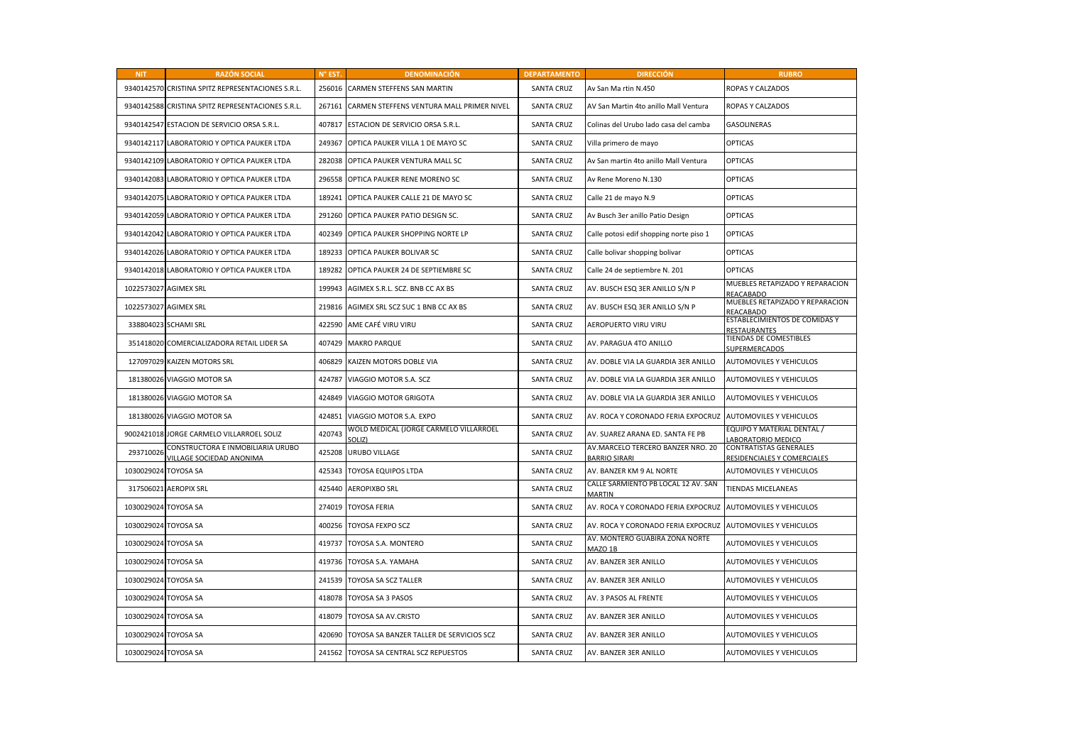| <b>NIT</b>           | <b>RAZÓN SOCIAL</b>                                           | N° EST. | <b>DENOMINACIÓN</b>                             | <b>DEPARTAMENTO</b> | <b>DIRECCIÓN</b>                                          | <b>RUBRO</b>                                                 |
|----------------------|---------------------------------------------------------------|---------|-------------------------------------------------|---------------------|-----------------------------------------------------------|--------------------------------------------------------------|
|                      | 9340142570 CRISTINA SPITZ REPRESENTACIONES S.R.L.             | 256016  | CARMEN STEFFENS SAN MARTIN                      | <b>SANTA CRUZ</b>   | Av San Ma rtin N.450                                      | ROPAS Y CALZADOS                                             |
| 9340142588           | CRISTINA SPITZ REPRESENTACIONES S.R.L.                        | 267161  | CARMEN STEFFENS VENTURA MALL PRIMER NIVEL       | <b>SANTA CRUZ</b>   | AV San Martin 4to anillo Mall Ventura                     | ROPAS Y CALZADOS                                             |
|                      | 9340142547 ESTACION DE SERVICIO ORSA S.R.L.                   | 407817  | ESTACION DE SERVICIO ORSA S.R.L.                | <b>SANTA CRUZ</b>   | Colinas del Urubo lado casa del camba                     | <b>GASOLINERAS</b>                                           |
| 9340142117           | LABORATORIO Y OPTICA PAUKER LTDA                              | 249367  | OPTICA PAUKER VILLA 1 DE MAYO SC                | <b>SANTA CRUZ</b>   | Villa primero de mayo                                     | <b>OPTICAS</b>                                               |
|                      | 9340142109 LABORATORIO Y OPTICA PAUKER LTDA                   | 282038  | OPTICA PAUKER VENTURA MALL SC                   | <b>SANTA CRUZ</b>   | Av San martin 4to anillo Mall Ventura                     | <b>OPTICAS</b>                                               |
|                      | 9340142083 LABORATORIO Y OPTICA PAUKER LTDA                   | 296558  | OPTICA PAUKER RENE MORENO SC                    | <b>SANTA CRUZ</b>   | Av Rene Moreno N.130                                      | <b>OPTICAS</b>                                               |
| 9340142075           | LABORATORIO Y OPTICA PAUKER LTDA                              | 189241  | OPTICA PAUKER CALLE 21 DE MAYO SC               | <b>SANTA CRUZ</b>   | Calle 21 de mayo N.9                                      | <b>OPTICAS</b>                                               |
|                      | 9340142059 LABORATORIO Y OPTICA PAUKER LTDA                   | 291260  | OPTICA PAUKER PATIO DESIGN SC.                  | <b>SANTA CRUZ</b>   | Av Busch 3er anillo Patio Design                          | <b>OPTICAS</b>                                               |
| 9340142042           | LABORATORIO Y OPTICA PAUKER LTDA                              | 402349  | OPTICA PAUKER SHOPPING NORTE LP                 | <b>SANTA CRUZ</b>   | Calle potosi edif shopping norte piso 1                   | <b>OPTICAS</b>                                               |
|                      | 9340142026 LABORATORIO Y OPTICA PAUKER LTDA                   | 189233  | OPTICA PAUKER BOLIVAR SC                        | <b>SANTA CRUZ</b>   | Calle bolivar shopping bolivar                            | <b>OPTICAS</b>                                               |
|                      | 9340142018 LABORATORIO Y OPTICA PAUKER LTDA                   | 189282  | OPTICA PAUKER 24 DE SEPTIEMBRE SC               | <b>SANTA CRUZ</b>   | Calle 24 de septiembre N. 201                             | <b>OPTICAS</b>                                               |
|                      | 1022573027 AGIMEX SRL                                         | 199943  | AGIMEX S.R.L. SCZ. BNB CC AX BS                 | <b>SANTA CRUZ</b>   | AV. BUSCH ESQ 3ER ANILLO S/N P                            | MUEBLES RETAPIZADO Y REPARACION<br>REACABADO                 |
|                      | 1022573027 AGIMEX SRL                                         | 219816  | AGIMEX SRL SCZ SUC 1 BNB CC AX BS               | <b>SANTA CRUZ</b>   | AV. BUSCH ESQ 3ER ANILLO S/N P                            | MUEBLES RETAPIZADO Y REPARACION<br>REACABADO                 |
|                      | 338804023 SCHAMI SRL                                          | 422590  | AME CAFÉ VIRU VIRU                              | <b>SANTA CRUZ</b>   | AEROPUERTO VIRU VIRU                                      | ESTABLECIMIENTOS DE COMIDAS Y<br>RESTAURANTES                |
|                      | 351418020 COMERCIALIZADORA RETAIL LIDER SA                    | 407429  | <b>MAKRO PARQUE</b>                             | <b>SANTA CRUZ</b>   | AV. PARAGUA 4TO ANILLO                                    | TIENDAS DE COMESTIBLES<br>SUPERMERCADOS                      |
| 127097029            | KAIZEN MOTORS SRL                                             | 406829  | KAIZEN MOTORS DOBLE VIA                         | <b>SANTA CRUZ</b>   | AV. DOBLE VIA LA GUARDIA 3ER ANILLO                       | AUTOMOVILES Y VEHICULOS                                      |
|                      | 181380026 VIAGGIO MOTOR SA                                    | 424787  | VIAGGIO MOTOR S.A. SCZ                          | <b>SANTA CRUZ</b>   | AV. DOBLE VIA LA GUARDIA 3ER ANILLO                       | AUTOMOVILES Y VEHICULOS                                      |
| 181380026            | VIAGGIO MOTOR SA                                              | 424849  | VIAGGIO MOTOR GRIGOTA                           | <b>SANTA CRUZ</b>   | AV. DOBLE VIA LA GUARDIA 3ER ANILLO                       | AUTOMOVILES Y VEHICULOS                                      |
|                      | 181380026 VIAGGIO MOTOR SA                                    | 424851  | VIAGGIO MOTOR S.A. EXPO                         | <b>SANTA CRUZ</b>   | AV. ROCA Y CORONADO FERIA EXPOCRUZ                        | <b>AUTOMOVILES Y VEHICULOS</b>                               |
|                      | 9002421018 JORGE CARMELO VILLARROEL SOLIZ                     | 420743  | WOLD MEDICAL (JORGE CARMELO VILLARROEL<br>OLIZ) | <b>SANTA CRUZ</b>   | AV. SUAREZ ARANA ED. SANTA FE PB                          | EQUIPO Y MATERIAL DENTAL /<br>ABORATORIO MEDICO              |
| 293710026            | CONSTRUCTORA E INMOBILIARIA URUBO<br>VILLAGE SOCIEDAD ANONIMA | 425208  | URUBO VILLAGE                                   | <b>SANTA CRUZ</b>   | AV.MARCELO TERCERO BANZER NRO. 20<br><b>BARRIO SIRARI</b> | <b>CONTRATISTAS GENERALES</b><br>RESIDENCIALES Y COMERCIALES |
| 1030029024 TOYOSA SA |                                                               | 425343  | <b>TOYOSA EQUIPOS LTDA</b>                      | <b>SANTA CRUZ</b>   | AV. BANZER KM 9 AL NORTE                                  | AUTOMOVILES Y VEHICULOS                                      |
| 317506021            | <b>AEROPIX SRL</b>                                            | 425440  | <b>AEROPIXBO SRL</b>                            | <b>SANTA CRUZ</b>   | CALLE SARMIENTO PB LOCAL 12 AV. SAN<br><b>MARTIN</b>      | TIENDAS MICELANEAS                                           |
| 1030029024 TOYOSA SA |                                                               | 274019  | <b>TOYOSA FERIA</b>                             | <b>SANTA CRUZ</b>   | AV. ROCA Y CORONADO FERIA EXPOCRUZ                        | AUTOMOVILES Y VEHICULOS                                      |
| 1030029024 TOYOSA SA |                                                               | 400256  | <b>TOYOSA FEXPO SCZ</b>                         | <b>SANTA CRUZ</b>   | AV. ROCA Y CORONADO FERIA EXPOCRUZ                        | <b>AUTOMOVILES Y VEHICULOS</b>                               |
| 1030029024           | <b>TOYOSA SA</b>                                              | 419737  | TOYOSA S.A. MONTERO                             | <b>SANTA CRUZ</b>   | AV. MONTERO GUABIRA ZONA NORTE<br>MAZO 1B                 | AUTOMOVILES Y VEHICULOS                                      |
| 1030029024 TOYOSA SA |                                                               | 419736  | TOYOSA S.A. YAMAHA                              | <b>SANTA CRUZ</b>   | AV. BANZER 3ER ANILLO                                     | AUTOMOVILES Y VEHICULOS                                      |
| 1030029024           | <b>TOYOSA SA</b>                                              | 241539  | TOYOSA SA SCZ TALLER                            | <b>SANTA CRUZ</b>   | AV. BANZER 3ER ANILLO                                     | AUTOMOVILES Y VEHICULOS                                      |
| 1030029024 TOYOSA SA |                                                               | 418078  | TOYOSA SA 3 PASOS                               | <b>SANTA CRUZ</b>   | AV. 3 PASOS AL FRENTE                                     | AUTOMOVILES Y VEHICULOS                                      |
| 1030029024 TOYOSA SA |                                                               | 418079  | TOYOSA SA AV.CRISTO                             | <b>SANTA CRUZ</b>   | AV. BANZER 3ER ANILLO                                     | AUTOMOVILES Y VEHICULOS                                      |
| 1030029024 TOYOSA SA |                                                               | 420690  | TOYOSA SA BANZER TALLER DE SERVICIOS SCZ        | <b>SANTA CRUZ</b>   | AV. BANZER 3ER ANILLO                                     | AUTOMOVILES Y VEHICULOS                                      |
| 1030029024 TOYOSA SA |                                                               | 241562  | TOYOSA SA CENTRAL SCZ REPUESTOS                 | <b>SANTA CRUZ</b>   | AV. BANZER 3ER ANILLO                                     | <b>AUTOMOVILES Y VEHICULOS</b>                               |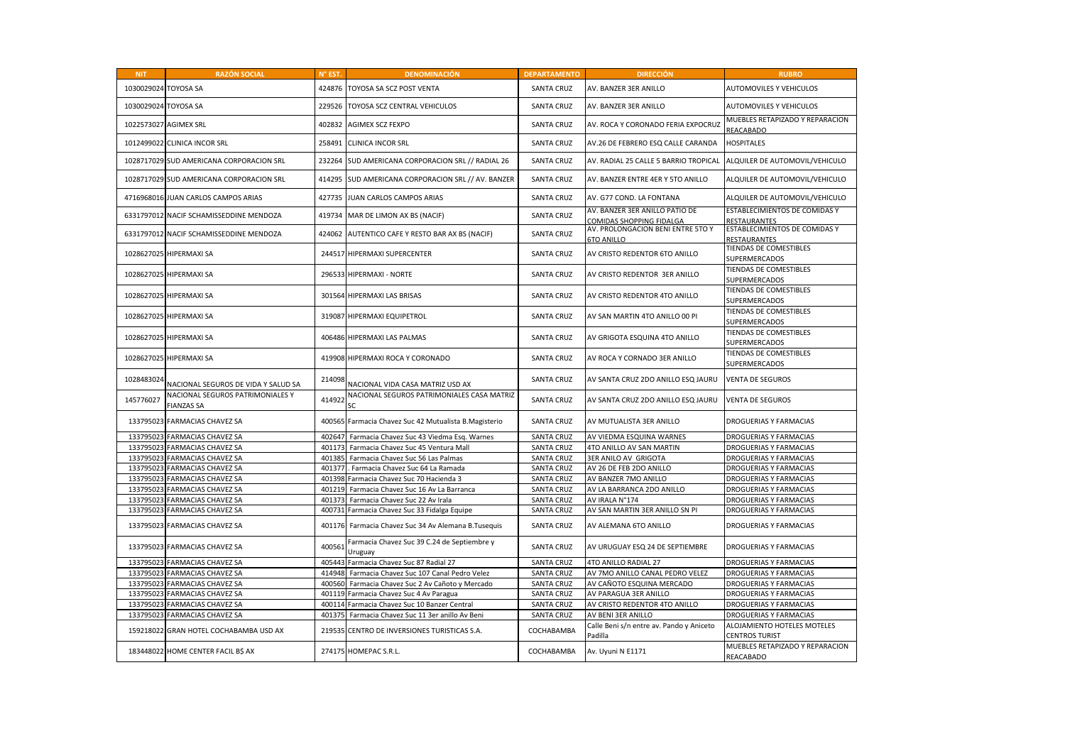| <b>NIT</b>           | <b>RAZÓN SOCIAL</b>                                   | N° EST | <b>DENOMINACIÓN</b>                                     | <b>DEPARTAMENTO</b> | <b>DIRECCIÓN</b>                                           | <b>RUBRO</b>                                   |
|----------------------|-------------------------------------------------------|--------|---------------------------------------------------------|---------------------|------------------------------------------------------------|------------------------------------------------|
| 1030029024 TOYOSA SA |                                                       | 424876 | TOYOSA SA SCZ POST VENTA                                | <b>SANTA CRUZ</b>   | AV. BANZER 3ER ANILLO                                      | AUTOMOVILES Y VEHICULOS                        |
| 1030029024 TOYOSA SA |                                                       | 229526 | TOYOSA SCZ CENTRAL VEHICULOS                            | <b>SANTA CRUZ</b>   | AV. BANZER 3ER ANILLO                                      | <b>AUTOMOVILES Y VEHICULOS</b>                 |
|                      | 1022573027 AGIMEX SRL                                 | 402832 | <b>AGIMEX SCZ FEXPO</b>                                 | <b>SANTA CRUZ</b>   | AV. ROCA Y CORONADO FERIA EXPOCRUZ                         | MUEBLES RETAPIZADO Y REPARACION<br>REACABADO   |
| 1012499022           | <b>CLINICA INCOR SRL</b>                              | 258491 | <b>CLINICA INCOR SRL</b>                                | <b>SANTA CRUZ</b>   | AV.26 DE FEBRERO ESQ CALLE CARANDA                         | <b>HOSPITALES</b>                              |
|                      | 1028717029 SUD AMERICANA CORPORACION SRL              | 232264 | SUD AMERICANA CORPORACION SRL // RADIAL 26              | <b>SANTA CRUZ</b>   | AV. RADIAL 25 CALLE 5 BARRIO TROPICAL                      | ALQUILER DE AUTOMOVIL/VEHICULO                 |
|                      | 1028717029 SUD AMERICANA CORPORACION SRL              | 414295 | SUD AMERICANA CORPORACION SRL // AV. BANZER             | <b>SANTA CRUZ</b>   | AV. BANZER ENTRE 4ER Y 5TO ANILLO                          | ALQUILER DE AUTOMOVIL/VEHICULO                 |
| 4716968016           | JUAN CARLOS CAMPOS ARIAS                              | 427735 | JUAN CARLOS CAMPOS ARIAS                                | <b>SANTA CRUZ</b>   | AV. G77 COND. LA FONTANA                                   | ALQUILER DE AUTOMOVIL/VEHICULO                 |
|                      | 6331797012 NACIF SCHAMISSEDDINE MENDOZA               | 419734 | MAR DE LIMON AX BS (NACIF)                              | <b>SANTA CRUZ</b>   | AV. BANZER 3ER ANILLO PATIO DE<br>COMIDAS SHOPPING FIDALGA | ESTABLECIMIENTOS DE COMIDAS Y<br>RESTAURANTES  |
| 6331797012           | NACIF SCHAMISSEDDINE MENDOZA                          | 424062 | AUTENTICO CAFE Y RESTO BAR AX BS (NACIF)                | <b>SANTA CRUZ</b>   | AV. PROLONGACION BENI ENTRE 5TO Y<br><b>6TO ANILLO</b>     | ESTABLECIMIENTOS DE COMIDAS Y<br>RESTAURANTES  |
|                      | 1028627025 HIPERMAXI SA                               | 244517 | HIPERMAXI SUPERCENTER                                   | <b>SANTA CRUZ</b>   | AV CRISTO REDENTOR 6TO ANILLO                              | TIENDAS DE COMESTIBLES<br>SUPERMERCADOS        |
|                      | 1028627025 HIPERMAXI SA                               | 296533 | <b>HIPERMAXI - NORTE</b>                                | <b>SANTA CRUZ</b>   | AV CRISTO REDENTOR 3ER ANILLO                              | TIENDAS DE COMESTIBLES<br><b>SUPERMERCADOS</b> |
|                      | 1028627025 HIPERMAXI SA                               | 301564 | <b>HIPERMAXI LAS BRISAS</b>                             | <b>SANTA CRUZ</b>   | AV CRISTO REDENTOR 4TO ANILLO                              | TIENDAS DE COMESTIBLES<br>SUPERMERCADOS        |
|                      | 1028627025 HIPERMAXI SA                               | 319087 | HIPERMAXI EQUIPETROL                                    | <b>SANTA CRUZ</b>   | AV SAN MARTIN 4TO ANILLO 00 PI                             | <b>TIENDAS DE COMESTIBLES</b><br>SUPERMERCADOS |
|                      | 1028627025 HIPERMAXI SA                               | 406486 | <b>HIPERMAXI LAS PALMAS</b>                             | <b>SANTA CRUZ</b>   | AV GRIGOTA ESQUINA 4TO ANILLO                              | TIENDAS DE COMESTIBLES<br><b>SUPERMERCADOS</b> |
| 1028627025           | <b>HIPERMAXI SA</b>                                   | 419908 | HIPERMAXI ROCA Y CORONADO                               | <b>SANTA CRUZ</b>   | AV ROCA Y CORNADO 3ER ANILLO                               | TIENDAS DE COMESTIBLES<br><b>SUPERMERCADOS</b> |
| 1028483024           | NACIONAL SEGUROS DE VIDA Y SALUD SA                   | 214098 | NACIONAL VIDA CASA MATRIZ USD AX                        | <b>SANTA CRUZ</b>   | AV SANTA CRUZ 2DO ANILLO ESQ JAURU                         | <b>VENTA DE SEGUROS</b>                        |
| 145776027            | NACIONAL SEGUROS PATRIMONIALES Y<br><b>FIANZAS SA</b> | 414922 | NACIONAL SEGUROS PATRIMONIALES CASA MATRIZ<br><b>SC</b> | <b>SANTA CRUZ</b>   | AV SANTA CRUZ 2DO ANILLO ESQ JAURU                         | <b>VENTA DE SEGUROS</b>                        |
| 133795023            | FARMACIAS CHAVEZ SA                                   |        | 400565 Farmacia Chavez Suc 42 Mutualista B.Magisterio   | <b>SANTA CRUZ</b>   | AV MUTUALISTA 3ER ANILLO                                   | DROGUERIAS Y FARMACIAS                         |
|                      | 133795023 FARMACIAS CHAVEZ SA                         | 402647 | Farmacia Chavez Suc 43 Viedma Esq. Warnes               | <b>SANTA CRUZ</b>   | AV VIEDMA ESQUINA WARNES                                   | DROGUERIAS Y FARMACIAS                         |
|                      | 133795023 FARMACIAS CHAVEZ SA                         | 401173 | Farmacia Chavez Suc 45 Ventura Mall                     | <b>SANTA CRUZ</b>   | 4TO ANILLO AV SAN MARTIN                                   | DROGUERIAS Y FARMACIAS                         |
|                      | 133795023 FARMACIAS CHAVEZ SA                         |        | 401385 Farmacia Chavez Suc 56 Las Palmas                | <b>SANTA CRUZ</b>   | 3ER ANILO AV GRIGOTA                                       | DROGUERIAS Y FARMACIAS                         |
|                      | 133795023 FARMACIAS CHAVEZ SA                         | 401377 | Farmacia Chavez Suc 64 La Ramada                        | <b>SANTA CRUZ</b>   | AV 26 DE FEB 2DO ANILLO                                    | DROGUERIAS Y FARMACIAS                         |
|                      | 133795023 FARMACIAS CHAVEZ SA                         | 401398 | Farmacia Chavez Suc 70 Hacienda 3                       | <b>SANTA CRUZ</b>   | AV BANZER 7MO ANILLO                                       | DROGUERIAS Y FARMACIAS                         |
|                      | 133795023 FARMACIAS CHAVEZ SA                         | 401219 | Farmacia Chavez Suc 16 Av La Barranca                   | <b>SANTA CRUZ</b>   | AV LA BARRANCA 2DO ANILLO                                  | DROGUERIAS Y FARMACIAS                         |
|                      | 133795023 FARMACIAS CHAVEZ SA                         | 401373 | Farmacia Chavez Suc 22 Av Irala                         | <b>SANTA CRUZ</b>   | AV IRALA N°174                                             | DROGUERIAS Y FARMACIAS                         |
|                      | 133795023 FARMACIAS CHAVEZ SA                         | 400731 | Farmacia Chavez Suc 33 Fidalga Equipe                   | <b>SANTA CRUZ</b>   | AV SAN MARTIN 3ER ANILLO SN PI                             | DROGUERIAS Y FARMACIAS                         |
|                      | 133795023 FARMACIAS CHAVEZ SA                         |        | 401176 Farmacia Chavez Suc 34 Av Alemana B.Tusequis     | <b>SANTA CRUZ</b>   | AV ALEMANA 6TO ANILLO                                      | <b>DROGUERIAS Y FARMACIAS</b>                  |
|                      | 133795023 FARMACIAS CHAVEZ SA                         | 400563 | Farmacia Chavez Suc 39 C.24 de Septiembre y<br>Uruguay  | <b>SANTA CRUZ</b>   | AV URUGUAY ESQ 24 DE SEPTIEMBRE                            | <b>DROGUERIAS Y FARMACIAS</b>                  |
| 133795023            | <b>FARMACIAS CHAVEZ SA</b>                            | 405443 | Farmacia Chavez Suc 87 Radial 27                        | <b>SANTA CRUZ</b>   | 4TO ANILLO RADIAL 27                                       | DROGUERIAS Y FARMACIAS                         |
|                      | 133795023 FARMACIAS CHAVEZ SA                         | 414948 | Farmacia Chavez Suc 107 Canal Pedro Velez               | <b>SANTA CRUZ</b>   | AV 7MO ANILLO CANAL PEDRO VELEZ                            | DROGUERIAS Y FARMACIAS                         |
|                      | 133795023 FARMACIAS CHAVEZ SA                         | 400560 | Farmacia Chavez Suc 2 Av Cañoto y Mercado               | <b>SANTA CRUZ</b>   | AV CAÑOTO ESQUINA MERCADO                                  | DROGUERIAS Y FARMACIAS                         |
|                      | 133795023 FARMACIAS CHAVEZ SA                         | 401119 | Farmacia Chavez Suc 4 Av Paragua                        | <b>SANTA CRUZ</b>   | AV PARAGUA 3ER ANILLO                                      | DROGUERIAS Y FARMACIAS                         |
|                      | 133795023 FARMACIAS CHAVEZ SA                         | 400114 | Farmacia Chavez Suc 10 Banzer Central                   | <b>SANTA CRUZ</b>   | AV CRISTO REDENTOR 4TO ANILLO                              | DROGUERIAS Y FARMACIAS                         |
|                      | 133795023 FARMACIAS CHAVEZ SA                         |        | 401375 Farmacia Chavez Suc 11 3er anillo Av Beni        | <b>SANTA CRUZ</b>   | AV BENI 3ER ANILLO                                         | DROGUERIAS Y FARMACIAS                         |
| 159218022            | GRAN HOTEL COCHABAMBA USD AX                          | 219535 | CENTRO DE INVERSIONES TURISTICAS S.A.                   | COCHABAMBA          | Calle Beni s/n entre av. Pando y Aniceto<br>Padilla        | ALOJAMIENTO HOTELES MOTELES<br>CENTROS TURIST  |
|                      | 183448022 HOME CENTER FACIL B\$ AX                    |        | 274175 HOMEPAC S.R.L.                                   | COCHABAMBA          | Av. Uyuni N E1171                                          | MUEBLES RETAPIZADO Y REPARACION<br>REACABADO   |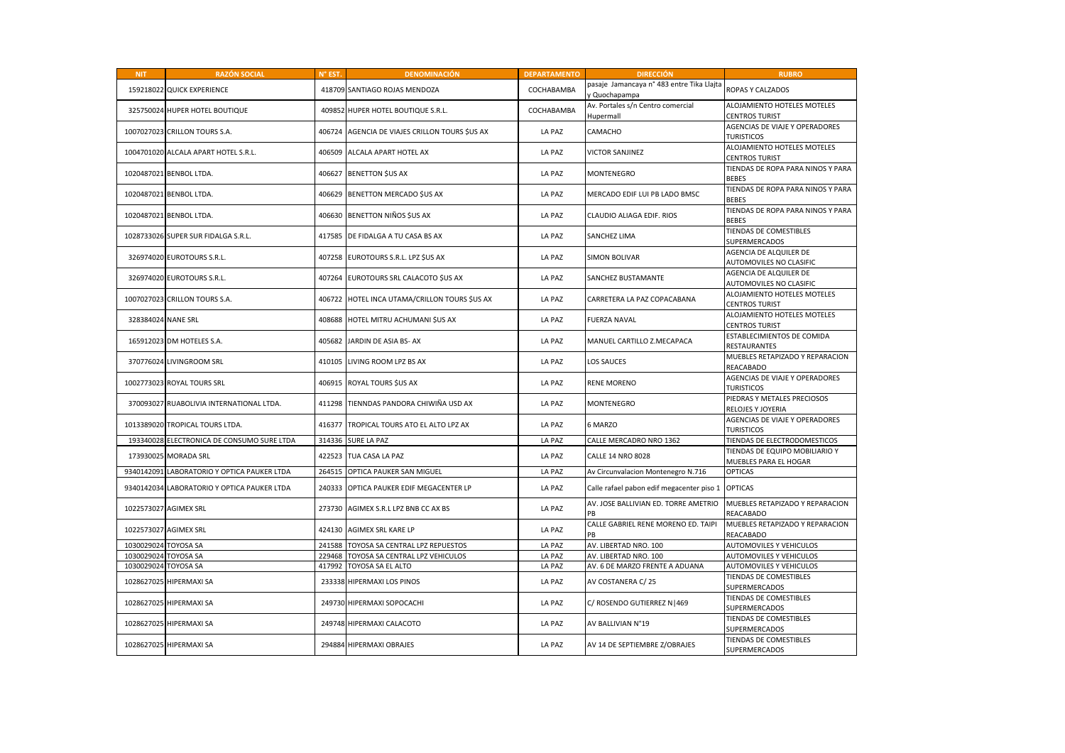| <b>NIT</b>           | <b>RAZÓN SOCIAL</b>                         | N° EST. | <b>DENOMINACIÓN</b>                            | <b>DEPARTAMENTO</b> | <b>DIRECCIÓN</b>                                           | <b>RUBRO</b>                                            |
|----------------------|---------------------------------------------|---------|------------------------------------------------|---------------------|------------------------------------------------------------|---------------------------------------------------------|
|                      | 159218022 QUICK EXPERIENCE                  |         | 418709 SANTIAGO ROJAS MENDOZA                  | COCHABAMBA          | pasaje Jamancaya n° 483 entre Tika Llajta<br>y Quochapampa | ROPAS Y CALZADOS                                        |
|                      | 325750024 HUPER HOTEL BOUTIQUE              |         | 409852 HUPER HOTEL BOUTIQUE S.R.L.             | COCHABAMBA          | Av. Portales s/n Centro comercial<br>Hupermall             | ALOJAMIENTO HOTELES MOTELES<br><b>CENTROS TURIST</b>    |
|                      | 1007027023 CRILLON TOURS S.A.               |         | 406724 AGENCIA DE VIAJES CRILLON TOURS \$US AX | LA PAZ              | CAMACHO                                                    | AGENCIAS DE VIAJE Y OPERADORES<br><b>TURISTICOS</b>     |
|                      | 1004701020 ALCALA APART HOTEL S.R.L.        | 406509  | ALCALA APART HOTEL AX                          | LA PAZ              | <b>VICTOR SANJINEZ</b>                                     | ALOJAMIENTO HOTELES MOTELES<br><b>CENTROS TURIST</b>    |
|                      | 1020487021 BENBOL LTDA.                     | 406627  | <b>BENETTON \$US AX</b>                        | LA PAZ              | MONTENEGRO                                                 | TIENDAS DE ROPA PARA NINOS Y PARA<br><b>BEBES</b>       |
|                      | 1020487021 BENBOL LTDA.                     |         | 406629 BENETTON MERCADO \$US AX                | LA PAZ              | MERCADO EDIF LUI PB LADO BMSC                              | TIENDAS DE ROPA PARA NINOS Y PARA<br><b>BEBES</b>       |
|                      | 1020487021 BENBOL LTDA.                     |         | 406630 BENETTON NIÑOS SUS AX                   | LA PAZ              | CLAUDIO ALIAGA EDIF. RIOS                                  | TIENDAS DE ROPA PARA NINOS Y PARA<br><b>BEBES</b>       |
|                      | 1028733026 SUPER SUR FIDALGA S.R.L.         |         | 417585 DE FIDALGA A TU CASA BS AX              | LA PAZ              | SANCHEZ LIMA                                               | TIENDAS DE COMESTIBLES<br>SUPERMERCADOS                 |
|                      | 326974020 EUROTOURS S.R.L.                  |         | 407258 EUROTOURS S.R.L. LPZ \$US AX            | LA PAZ              | <b>SIMON BOLIVAR</b>                                       | AGENCIA DE ALQUILER DE<br>AUTOMOVILES NO CLASIFIC       |
|                      | 326974020 EUROTOURS S.R.L.                  |         | 407264 EUROTOURS SRL CALACOTO SUS AX           | LA PAZ              | SANCHEZ BUSTAMANTE                                         | AGENCIA DE ALQUILER DE<br>AUTOMOVILES NO CLASIFIC       |
|                      | 1007027023 CRILLON TOURS S.A.               | 406722  | HOTEL INCA UTAMA/CRILLON TOURS \$US AX         | LA PAZ              | CARRETERA LA PAZ COPACABANA                                | ALOJAMIENTO HOTELES MOTELES<br><b>CENTROS TURIST</b>    |
| 328384024 NANE SRL   |                                             |         | 408688 HOTEL MITRU ACHUMANI SUS AX             | LA PAZ              | FUERZA NAVAL                                               | ALOJAMIENTO HOTELES MOTELES<br><b>CENTROS TURIST</b>    |
|                      | 165912023 DM HOTELES S.A.                   | 405682  | JARDIN DE ASIA BS- AX                          | LA PAZ              | MANUEL CARTILLO Z.MECAPACA                                 | ESTABLECIMIENTOS DE COMIDA<br>RESTAURANTES              |
|                      | 370776024 LIVINGROOM SRL                    | 410105  | LIVING ROOM LPZ BS AX                          | LA PAZ              | LOS SAUCES                                                 | MUEBLES RETAPIZADO Y REPARACION<br>REACABADO            |
|                      | 1002773023 ROYAL TOURS SRL                  |         | 406915 ROYAL TOURS \$US AX                     | LA PAZ              | RENE MORENO                                                | AGENCIAS DE VIAJE Y OPERADORES<br><b>TURISTICOS</b>     |
|                      | 370093027 RUABOLIVIA INTERNATIONAL LTDA.    | 411298  | TIENNDAS PANDORA CHIWIÑA USD AX                | LA PAZ              | MONTENEGRO                                                 | PIEDRAS Y METALES PRECIOSOS<br>RELOJES Y JOYERIA        |
|                      | 1013389020 TROPICAL TOURS LTDA.             | 416377  | TROPICAL TOURS ATO EL ALTO LPZ AX              | LA PAZ              | 6 MARZO                                                    | AGENCIAS DE VIAJE Y OPERADORES<br><b>TURISTICOS</b>     |
|                      | 193340028 ELECTRONICA DE CONSUMO SURE LTDA  | 314336  | <b>SURE LA PAZ</b>                             | LA PAZ              | CALLE MERCADRO NRO 1362                                    | TIENDAS DE ELECTRODOMESTICOS                            |
|                      | 173930025 MORADA SRL                        |         | 422523 TUA CASA LA PAZ                         | LA PAZ              | CALLE 14 NRO 8028                                          | TIENDAS DE EQUIPO MOBILIARIO Y<br>MUEBLES PARA EL HOGAR |
|                      | 9340142091 LABORATORIO Y OPTICA PAUKER LTDA | 264515  | OPTICA PAUKER SAN MIGUEL                       | LA PAZ              | Av Circunvalacion Montenegro N.716                         | <b>OPTICAS</b>                                          |
|                      | 9340142034 LABORATORIO Y OPTICA PAUKER LTDA | 240333  | OPTICA PAUKER EDIF MEGACENTER LP               | LA PAZ              | Calle rafael pabon edif megacenter piso 1                  | <b>OPTICAS</b>                                          |
|                      | 1022573027 AGIMEX SRL                       | 273730  | AGIMEX S.R.L LPZ BNB CC AX BS                  | LA PAZ              | AV. JOSE BALLIVIAN ED. TORRE AMETRIO<br>PB                 | MUEBLES RETAPIZADO Y REPARACION<br>REACABADO            |
|                      | 1022573027 AGIMEX SRL                       |         | 424130 AGIMEX SRL KARE LP                      | LA PAZ              | CALLE GABRIEL RENE MORENO ED. TAIPI<br>PB                  | MUEBLES RETAPIZADO Y REPARACION<br>REACABADO            |
| 1030029024 TOYOSA SA |                                             | 241588  | TOYOSA SA CENTRAL LPZ REPUESTOS                | LA PAZ              | AV. LIBERTAD NRO. 100                                      | AUTOMOVILES Y VEHICULOS                                 |
| 1030029024 TOYOSA SA |                                             | 229468  | TOYOSA SA CENTRAL LPZ VEHICULOS                | LA PAZ              | AV. LIBERTAD NRO. 100                                      | AUTOMOVILES Y VEHICULOS                                 |
| 1030029024 TOYOSA SA |                                             | 417992  | <b>TOYOSA SA EL ALTO</b>                       | LA PAZ              | AV. 6 DE MARZO FRENTE A ADUANA                             | AUTOMOVILES Y VEHICULOS                                 |
|                      | 1028627025 HIPERMAXI SA                     |         | 233338 HIPERMAXI LOS PINOS                     | LA PAZ              | AV COSTANERA C/25                                          | TIENDAS DE COMESTIBLES<br>SUPERMERCADOS                 |
|                      | 1028627025 HIPERMAXI SA                     |         | 249730 HIPERMAXI SOPOCACHI                     | LA PAZ              | C/ ROSENDO GUTIERREZ N   469                               | TIENDAS DE COMESTIBLES<br>SUPERMERCADOS                 |
|                      | 1028627025 HIPERMAXI SA                     |         | 249748 HIPERMAXI CALACOTO                      | LA PAZ              | AV BALLIVIAN N°19                                          | TIENDAS DE COMESTIBLES<br>SUPERMERCADOS                 |
|                      | 1028627025 HIPERMAXI SA                     |         | 294884 HIPERMAXI OBRAJES                       | LA PAZ              | AV 14 DE SEPTIEMBRE Z/OBRAJES                              | TIENDAS DE COMESTIBLES<br>SUPERMERCADOS                 |